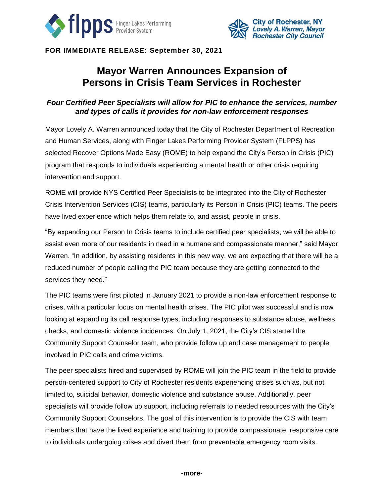



**FOR IMMEDIATE RELEASE: September 30, 2021**

# **Mayor Warren Announces Expansion of Persons in Crisis Team Services in Rochester**

## *Four Certified Peer Specialists will allow for PIC to enhance the services, number and types of calls it provides for non-law enforcement responses*

Mayor Lovely A. Warren announced today that the City of Rochester Department of Recreation and Human Services, along with Finger Lakes Performing Provider System (FLPPS) has selected Recover Options Made Easy (ROME) to help expand the City's Person in Crisis (PIC) program that responds to individuals experiencing a mental health or other crisis requiring intervention and support.

ROME will provide NYS Certified Peer Specialists to be integrated into the City of Rochester Crisis Intervention Services (CIS) teams, particularly its Person in Crisis (PIC) teams. The peers have lived experience which helps them relate to, and assist, people in crisis.

"By expanding our Person In Crisis teams to include certified peer specialists, we will be able to assist even more of our residents in need in a humane and compassionate manner," said Mayor Warren. "In addition, by assisting residents in this new way, we are expecting that there will be a reduced number of people calling the PIC team because they are getting connected to the services they need."

The PIC teams were first piloted in January 2021 to provide a non-law enforcement response to crises, with a particular focus on mental health crises. The PIC pilot was successful and is now looking at expanding its call response types, including responses to substance abuse, wellness checks, and domestic violence incidences. On July 1, 2021, the City's CIS started the Community Support Counselor team, who provide follow up and case management to people involved in PIC calls and crime victims.

The peer specialists hired and supervised by ROME will join the PIC team in the field to provide person-centered support to City of Rochester residents experiencing crises such as, but not limited to, suicidal behavior, domestic violence and substance abuse. Additionally, peer specialists will provide follow up support, including referrals to needed resources with the City's Community Support Counselors. The goal of this intervention is to provide the CIS with team members that have the lived experience and training to provide compassionate, responsive care to individuals undergoing crises and divert them from preventable emergency room visits.